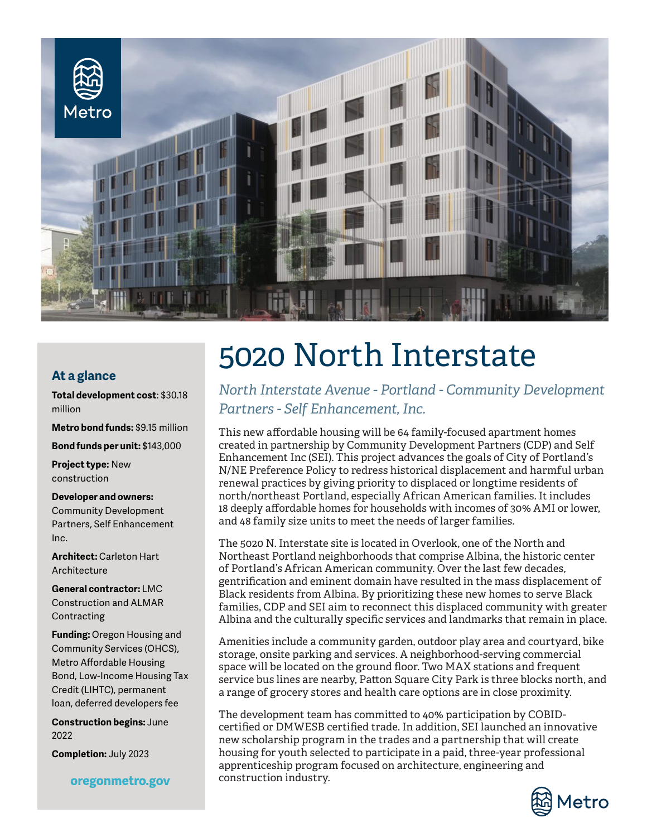

## **At a glance**

**Total development cost**: \$30.18 million

**Metro bond funds:** \$9.15 million

**Bond funds per unit:** \$143,000

**Project type:** New construction

**Developer and owners:** Community Development Partners, Self Enhancement Inc.

**Architect:** Carleton Hart Architecture

**General contractor:** LMC Construction and ALMAR Contracting

**Funding:** Oregon Housing and Community Services (OHCS), Metro Affordable Housing Bond, Low-Income Housing Tax Credit (LIHTC), permanent loan, deferred developers fee

**Construction begins:** June 2022

**Completion:** July 2023

oregonmetro.gov

## 5020 North Interstate

*North Interstate Avenue - Portland - Community Development Partners - Self Enhancement, Inc.*

This new affordable housing will be 64 family-focused apartment homes created in partnership by Community Development Partners (CDP) and Self Enhancement Inc (SEI). This project advances the goals of City of Portland's N/NE Preference Policy to redress historical displacement and harmful urban renewal practices by giving priority to displaced or longtime residents of north/northeast Portland, especially African American families. It includes 18 deeply affordable homes for households with incomes of 30% AMI or lower, and 48 family size units to meet the needs of larger families.

The 5020 N. Interstate site is located in Overlook, one of the North and Northeast Portland neighborhoods that comprise Albina, the historic center of Portland's African American community. Over the last few decades, gentrification and eminent domain have resulted in the mass displacement of Black residents from Albina. By prioritizing these new homes to serve Black families, CDP and SEI aim to reconnect this displaced community with greater Albina and the culturally specific services and landmarks that remain in place.

Amenities include a community garden, outdoor play area and courtyard, bike storage, onsite parking and services. A neighborhood-serving commercial space will be located on the ground floor. Two MAX stations and frequent service bus lines are nearby, Patton Square City Park is three blocks north, and a range of grocery stores and health care options are in close proximity.

The development team has committed to 40% participation by COBIDcertified or DMWESB certified trade. In addition, SEI launched an innovative new scholarship program in the trades and a partnership that will create housing for youth selected to participate in a paid, three-year professional apprenticeship program focused on architecture, engineering and construction industry.